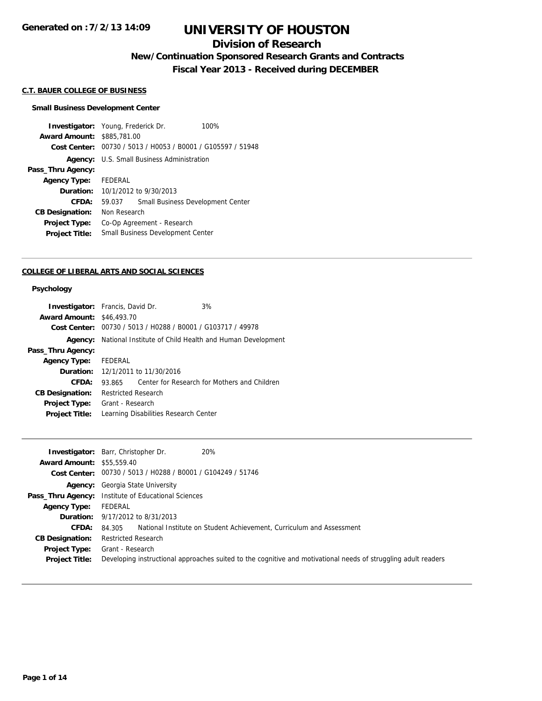## **Division of Research**

**New/Continuation Sponsored Research Grants and Contracts**

**Fiscal Year 2013 - Received during DECEMBER**

#### **C.T. BAUER COLLEGE OF BUSINESS**

#### **Small Business Development Center**

**Investigator:** Young, Frederick Dr. 100% **Award Amount:** \$885,781.00 **Cost Center:** 00730 / 5013 / H0053 / B0001 / G105597 / 51948 **Agency:** U.S. Small Business Administration **Pass\_Thru Agency: Agency Type:** FEDERAL **Duration:** 10/1/2012 to 9/30/2013 **CFDA:** 59.037 Small Business Development Center **CB Designation:** Non Research **Project Type:** Co-Op Agreement - Research **Project Title:** Small Business Development Center

#### **COLLEGE OF LIBERAL ARTS AND SOCIAL SCIENCES**

#### **Psychology**

| <b>Investigator:</b> Francis, David Dr. |                            |                                                             | 3%                                                       |
|-----------------------------------------|----------------------------|-------------------------------------------------------------|----------------------------------------------------------|
| <b>Award Amount: \$46,493.70</b>        |                            |                                                             |                                                          |
|                                         |                            | Cost Center: 00730 / 5013 / H0288 / B0001 / G103717 / 49978 |                                                          |
| Agency:                                 |                            |                                                             | National Institute of Child Health and Human Development |
| Pass_Thru Agency:                       |                            |                                                             |                                                          |
| <b>Agency Type:</b>                     | FEDERAL                    |                                                             |                                                          |
|                                         |                            | <b>Duration:</b> 12/1/2011 to 11/30/2016                    |                                                          |
| CFDA:                                   | 93.865                     |                                                             | Center for Research for Mothers and Children             |
| <b>CB Designation:</b>                  | <b>Restricted Research</b> |                                                             |                                                          |
| <b>Project Type:</b>                    | Grant - Research           |                                                             |                                                          |
| <b>Project Title:</b>                   |                            | Learning Disabilities Research Center                       |                                                          |

|                                  | 20%<br><b>Investigator:</b> Barr, Christopher Dr.                                                              |
|----------------------------------|----------------------------------------------------------------------------------------------------------------|
| <b>Award Amount: \$55,559.40</b> |                                                                                                                |
|                                  | Cost Center: 00730 / 5013 / H0288 / B0001 / G104249 / 51746                                                    |
|                                  | <b>Agency:</b> Georgia State University                                                                        |
|                                  | <b>Pass_Thru Agency:</b> Institute of Educational Sciences                                                     |
| <b>Agency Type:</b>              | FEDERAL                                                                                                        |
|                                  | <b>Duration:</b> 9/17/2012 to 8/31/2013                                                                        |
| CFDA:                            | National Institute on Student Achievement, Curriculum and Assessment<br>84.305                                 |
| <b>CB Designation:</b>           | <b>Restricted Research</b>                                                                                     |
| <b>Project Type:</b>             | Grant - Research                                                                                               |
| <b>Project Title:</b>            | Developing instructional approaches suited to the cognitive and motivational needs of struggling adult readers |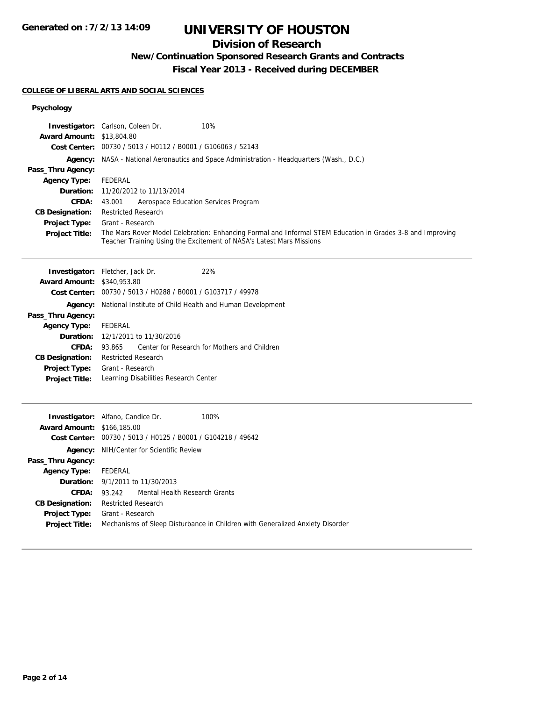## **Division of Research**

# **New/Continuation Sponsored Research Grants and Contracts**

**Fiscal Year 2013 - Received during DECEMBER**

## **COLLEGE OF LIBERAL ARTS AND SOCIAL SCIENCES**

### **Psychology**

| <b>Award Amount: \$13,804.80</b><br>Pass_Thru Agency:<br><b>Agency Type:</b><br>Duration:<br>CFDA:<br><b>CB Designation:</b><br><b>Project Type:</b><br>Project Title:         | <b>Investigator:</b> Carlson, Coleen Dr.<br>10%<br>Cost Center: 00730 / 5013 / H0112 / B0001 / G106063 / 52143<br><b>Agency:</b> NASA - National Aeronautics and Space Administration - Headquarters (Wash., D.C.)<br><b>FEDERAL</b><br>11/20/2012 to 11/13/2014<br>43.001<br>Aerospace Education Services Program<br><b>Restricted Research</b><br>Grant - Research<br>The Mars Rover Model Celebration: Enhancing Formal and Informal STEM Education in Grades 3-8 and Improving<br>Teacher Training Using the Excitement of NASA's Latest Mars Missions |
|--------------------------------------------------------------------------------------------------------------------------------------------------------------------------------|------------------------------------------------------------------------------------------------------------------------------------------------------------------------------------------------------------------------------------------------------------------------------------------------------------------------------------------------------------------------------------------------------------------------------------------------------------------------------------------------------------------------------------------------------------|
| <b>Award Amount: \$340,953.80</b><br>Pass_Thru Agency:<br><b>Agency Type:</b><br>Duration:<br>CFDA:<br><b>CB Designation:</b><br><b>Project Type:</b><br><b>Project Title:</b> | 22%<br>Investigator: Fletcher, Jack Dr.<br>Cost Center: 00730 / 5013 / H0288 / B0001 / G103717 / 49978<br>Agency: National Institute of Child Health and Human Development<br><b>FEDERAL</b><br>12/1/2011 to 11/30/2016<br>Center for Research for Mothers and Children<br>93.865<br><b>Restricted Research</b><br>Grant - Research<br>Learning Disabilities Research Center                                                                                                                                                                               |
| <b>Award Amount: \$166,185.00</b><br>Pass_Thru Agency:<br><b>Agency Type:</b><br>Duration:<br><b>CFDA:</b><br><b>CB Designation:</b><br>Project Type:<br><b>Project Title:</b> | Investigator: Alfano, Candice Dr.<br>100%<br>Cost Center: 00730 / 5013 / H0125 / B0001 / G104218 / 49642<br>Agency: NIH/Center for Scientific Review<br><b>FEDERAL</b><br>9/1/2011 to 11/30/2013<br>93.242<br>Mental Health Research Grants<br><b>Restricted Research</b><br>Grant - Research<br>Mechanisms of Sleep Disturbance in Children with Generalized Anxiety Disorder                                                                                                                                                                             |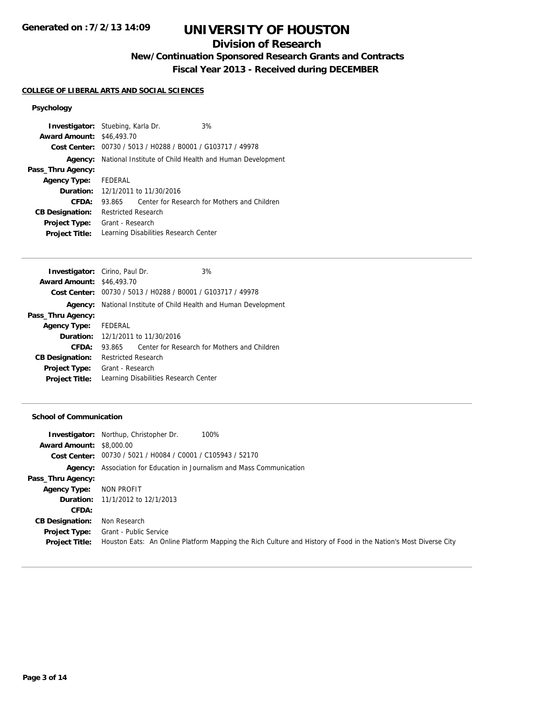## **Division of Research**

**New/Continuation Sponsored Research Grants and Contracts**

**Fiscal Year 2013 - Received during DECEMBER**

### **COLLEGE OF LIBERAL ARTS AND SOCIAL SCIENCES**

## **Psychology**

| <b>Investigator:</b> Stuebing, Karla Dr. |                            |                                          | 3%                                                          |  |
|------------------------------------------|----------------------------|------------------------------------------|-------------------------------------------------------------|--|
| <b>Award Amount: \$46,493.70</b>         |                            |                                          |                                                             |  |
|                                          |                            |                                          | Cost Center: 00730 / 5013 / H0288 / B0001 / G103717 / 49978 |  |
| Agency:                                  |                            |                                          | National Institute of Child Health and Human Development    |  |
| Pass_Thru Agency:                        |                            |                                          |                                                             |  |
| <b>Agency Type:</b>                      | FEDERAL                    |                                          |                                                             |  |
|                                          |                            | <b>Duration:</b> 12/1/2011 to 11/30/2016 |                                                             |  |
| CFDA:                                    | 93.865                     |                                          | Center for Research for Mothers and Children                |  |
| <b>CB Designation:</b>                   | <b>Restricted Research</b> |                                          |                                                             |  |
| <b>Project Type:</b>                     | Grant - Research           |                                          |                                                             |  |
| <b>Project Title:</b>                    |                            |                                          | Learning Disabilities Research Center                       |  |

|        |         | 3%                                                                                                                          |                                                                                                                                                                                                                                                              |
|--------|---------|-----------------------------------------------------------------------------------------------------------------------------|--------------------------------------------------------------------------------------------------------------------------------------------------------------------------------------------------------------------------------------------------------------|
|        |         |                                                                                                                             |                                                                                                                                                                                                                                                              |
|        |         |                                                                                                                             |                                                                                                                                                                                                                                                              |
|        |         |                                                                                                                             |                                                                                                                                                                                                                                                              |
|        |         |                                                                                                                             |                                                                                                                                                                                                                                                              |
|        |         |                                                                                                                             |                                                                                                                                                                                                                                                              |
|        |         |                                                                                                                             |                                                                                                                                                                                                                                                              |
| 93.865 |         |                                                                                                                             |                                                                                                                                                                                                                                                              |
|        |         |                                                                                                                             |                                                                                                                                                                                                                                                              |
|        |         |                                                                                                                             |                                                                                                                                                                                                                                                              |
|        |         |                                                                                                                             |                                                                                                                                                                                                                                                              |
|        | FEDERAL | <b>Investigator:</b> Cirino, Paul Dr.<br><b>Award Amount: \$46,493.70</b><br><b>Restricted Research</b><br>Grant - Research | Cost Center: 00730 / 5013 / H0288 / B0001 / G103717 / 49978<br>National Institute of Child Health and Human Development<br><b>Duration:</b> 12/1/2011 to 11/30/2016<br>Center for Research for Mothers and Children<br>Learning Disabilities Research Center |

#### **School of Communication**

|                                 | 100%<br><b>Investigator:</b> Northup, Christopher Dr.                                                           |
|---------------------------------|-----------------------------------------------------------------------------------------------------------------|
| <b>Award Amount: \$8,000.00</b> |                                                                                                                 |
|                                 | Cost Center: 00730 / 5021 / H0084 / C0001 / C105943 / 52170                                                     |
|                                 | <b>Agency:</b> Association for Education in Journalism and Mass Communication                                   |
| Pass_Thru Agency:               |                                                                                                                 |
| <b>Agency Type:</b>             | NON PROFIT                                                                                                      |
|                                 | <b>Duration:</b> 11/1/2012 to 12/1/2013                                                                         |
| CFDA:                           |                                                                                                                 |
| <b>CB Designation:</b>          | Non Research                                                                                                    |
| <b>Project Type:</b>            | <b>Grant - Public Service</b>                                                                                   |
| <b>Project Title:</b>           | Houston Eats: An Online Platform Mapping the Rich Culture and History of Food in the Nation's Most Diverse City |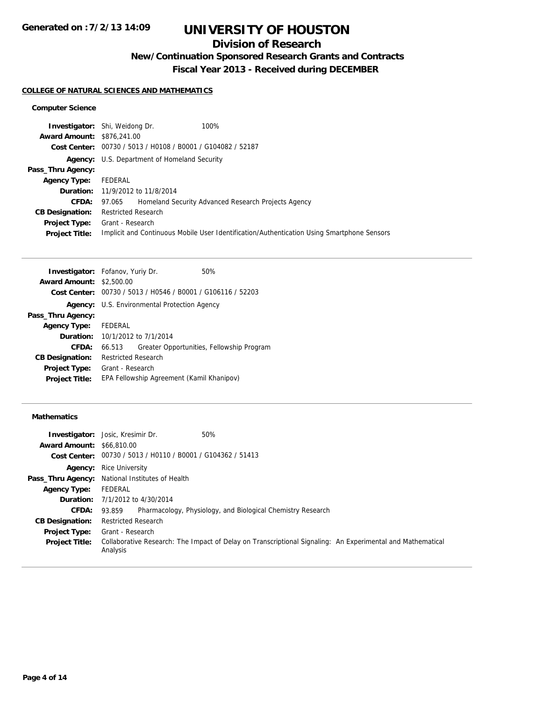## **Division of Research**

**New/Continuation Sponsored Research Grants and Contracts**

**Fiscal Year 2013 - Received during DECEMBER**

### **COLLEGE OF NATURAL SCIENCES AND MATHEMATICS**

### **Computer Science**

|                                   | <b>Investigator:</b> Shi, Weidong Dr.                       | 100%                                                                                       |
|-----------------------------------|-------------------------------------------------------------|--------------------------------------------------------------------------------------------|
|                                   |                                                             |                                                                                            |
| <b>Award Amount: \$876,241,00</b> |                                                             |                                                                                            |
|                                   | Cost Center: 00730 / 5013 / H0108 / B0001 / G104082 / 52187 |                                                                                            |
|                                   | <b>Agency:</b> U.S. Department of Homeland Security         |                                                                                            |
| Pass_Thru Agency:                 |                                                             |                                                                                            |
| <b>Agency Type:</b>               | FEDERAL                                                     |                                                                                            |
|                                   | <b>Duration:</b> 11/9/2012 to 11/8/2014                     |                                                                                            |
| <b>CFDA:</b>                      | 97.065                                                      | Homeland Security Advanced Research Projects Agency                                        |
| <b>CB Designation:</b>            | <b>Restricted Research</b>                                  |                                                                                            |
| Project Type:                     | Grant - Research                                            |                                                                                            |
| <b>Project Title:</b>             |                                                             | Implicit and Continuous Mobile User Identification/Authentication Using Smartphone Sensors |
|                                   |                                                             |                                                                                            |

| <b>Investigator:</b> Fofanov, Yuriy Dr.    |                            |                                                             | 50%                                       |
|--------------------------------------------|----------------------------|-------------------------------------------------------------|-------------------------------------------|
| <b>Award Amount:</b>                       | \$2,500.00                 |                                                             |                                           |
|                                            |                            | Cost Center: 00730 / 5013 / H0546 / B0001 / G106116 / 52203 |                                           |
|                                            |                            | <b>Agency:</b> U.S. Environmental Protection Agency         |                                           |
| Pass_Thru Agency:                          |                            |                                                             |                                           |
| <b>Agency Type:</b>                        | FEDERAL                    |                                                             |                                           |
| <b>Duration:</b> $10/1/2012$ to $7/1/2014$ |                            |                                                             |                                           |
| CFDA:                                      | 66.513                     |                                                             | Greater Opportunities, Fellowship Program |
| <b>CB Designation:</b>                     | <b>Restricted Research</b> |                                                             |                                           |
| <b>Project Type:</b>                       | Grant - Research           |                                                             |                                           |
| <b>Project Title:</b>                      |                            | EPA Fellowship Agreement (Kamil Khanipov)                   |                                           |
|                                            |                            |                                                             |                                           |

### **Mathematics**

|                                  | 50%<br><b>Investigator:</b> Josic, Kresimir Dr.                                                                        |
|----------------------------------|------------------------------------------------------------------------------------------------------------------------|
| <b>Award Amount: \$66,810.00</b> |                                                                                                                        |
|                                  | Cost Center: 00730 / 5013 / H0110 / B0001 / G104362 / 51413                                                            |
|                                  | <b>Agency:</b> Rice University                                                                                         |
|                                  | Pass_Thru Agency: National Institutes of Health                                                                        |
| <b>Agency Type:</b>              | FEDERAL                                                                                                                |
|                                  | <b>Duration:</b> 7/1/2012 to 4/30/2014                                                                                 |
| <b>CFDA:</b>                     | Pharmacology, Physiology, and Biological Chemistry Research<br>93.859                                                  |
| <b>CB Designation:</b>           | <b>Restricted Research</b>                                                                                             |
| <b>Project Type:</b>             | Grant - Research                                                                                                       |
| <b>Project Title:</b>            | Collaborative Research: The Impact of Delay on Transcriptional Signaling: An Experimental and Mathematical<br>Analysis |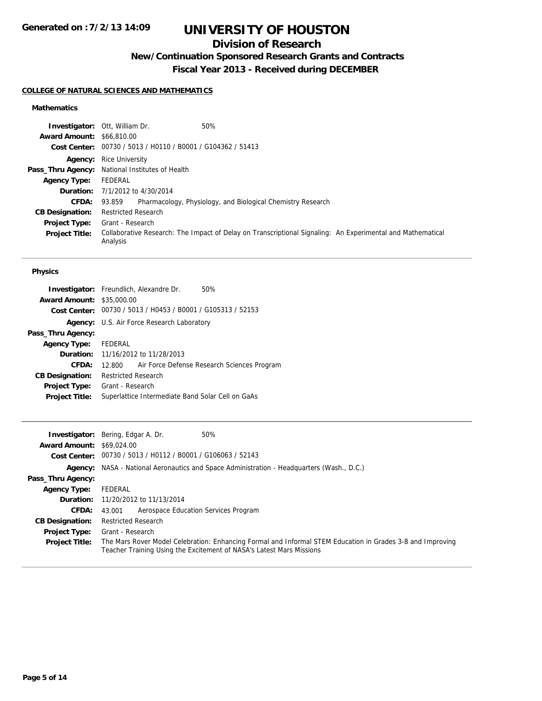## **Division of Research**

**New/Continuation Sponsored Research Grants and Contracts**

**Fiscal Year 2013 - Received during DECEMBER**

### **COLLEGE OF NATURAL SCIENCES AND MATHEMATICS**

### **Mathematics**

|                                  | 50%<br><b>Investigator: Ott, William Dr.</b>                                                                           |  |
|----------------------------------|------------------------------------------------------------------------------------------------------------------------|--|
| <b>Award Amount: \$66,810.00</b> |                                                                                                                        |  |
|                                  | Cost Center: 00730 / 5013 / H0110 / B0001 / G104362 / 51413                                                            |  |
|                                  | <b>Agency:</b> Rice University                                                                                         |  |
|                                  | <b>Pass_Thru Agency:</b> National Institutes of Health                                                                 |  |
| <b>Agency Type:</b>              | FEDERAL                                                                                                                |  |
|                                  | <b>Duration:</b> 7/1/2012 to 4/30/2014                                                                                 |  |
| <b>CFDA:</b>                     | Pharmacology, Physiology, and Biological Chemistry Research<br>93.859                                                  |  |
| <b>CB Designation:</b>           | <b>Restricted Research</b>                                                                                             |  |
| <b>Project Type:</b>             | Grant - Research                                                                                                       |  |
| <b>Project Title:</b>            | Collaborative Research: The Impact of Delay on Transcriptional Signaling: An Experimental and Mathematical<br>Analysis |  |

### **Physics**

|                                  | <b>Investigator:</b> Freundlich, Alexandre Dr.<br>50%       |
|----------------------------------|-------------------------------------------------------------|
| <b>Award Amount: \$35,000.00</b> |                                                             |
|                                  | Cost Center: 00730 / 5013 / H0453 / B0001 / G105313 / 52153 |
|                                  | <b>Agency:</b> U.S. Air Force Research Laboratory           |
| Pass_Thru Agency:                |                                                             |
| <b>Agency Type:</b> FEDERAL      |                                                             |
|                                  | <b>Duration:</b> 11/16/2012 to 11/28/2013                   |
| CFDA:                            | Air Force Defense Research Sciences Program<br>12.800       |
| <b>CB Designation:</b>           | <b>Restricted Research</b>                                  |
| <b>Project Type:</b>             | Grant - Research                                            |
| <b>Project Title:</b>            | Superlattice Intermediate Band Solar Cell on GaAs           |
|                                  |                                                             |

|                                  | 50%<br><b>Investigator:</b> Bering, Edgar A. Dr.                                                                                                                                   |
|----------------------------------|------------------------------------------------------------------------------------------------------------------------------------------------------------------------------------|
| <b>Award Amount: \$69,024,00</b> |                                                                                                                                                                                    |
|                                  | Cost Center: 00730 / 5013 / H0112 / B0001 / G106063 / 52143                                                                                                                        |
|                                  | <b>Agency:</b> NASA - National Aeronautics and Space Administration - Headquarters (Wash., D.C.)                                                                                   |
| Pass_Thru Agency:                |                                                                                                                                                                                    |
| <b>Agency Type:</b>              | FEDERAL                                                                                                                                                                            |
|                                  | <b>Duration:</b> 11/20/2012 to 11/13/2014                                                                                                                                          |
| <b>CFDA:</b>                     | Aerospace Education Services Program<br>43.001                                                                                                                                     |
| <b>CB Designation:</b>           | <b>Restricted Research</b>                                                                                                                                                         |
| <b>Project Type:</b>             | Grant - Research                                                                                                                                                                   |
| <b>Project Title:</b>            | The Mars Rover Model Celebration: Enhancing Formal and Informal STEM Education in Grades 3-8 and Improving<br>Teacher Training Using the Excitement of NASA's Latest Mars Missions |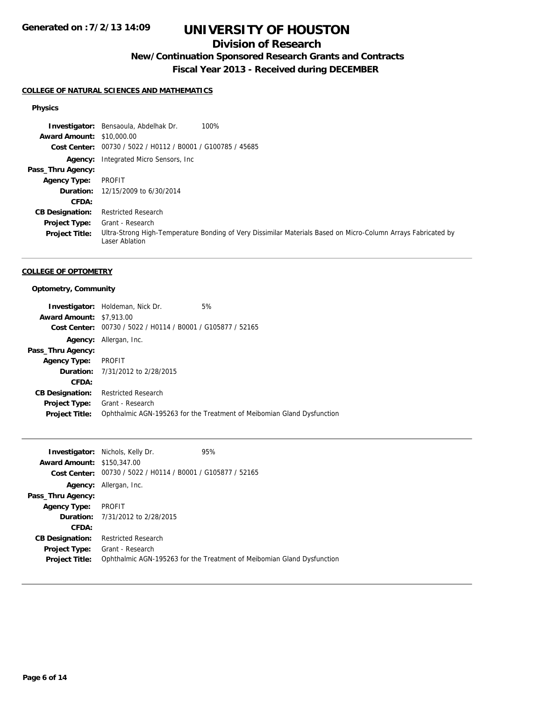## **Division of Research**

## **New/Continuation Sponsored Research Grants and Contracts**

**Fiscal Year 2013 - Received during DECEMBER**

### **COLLEGE OF NATURAL SCIENCES AND MATHEMATICS**

### **Physics**

|                        | <b>Investigator:</b> Bensaoula, Abdelhak Dr.<br>100%                                                                            |
|------------------------|---------------------------------------------------------------------------------------------------------------------------------|
| <b>Award Amount:</b>   | \$10,000.00                                                                                                                     |
| Cost Center:           | 00730 / 5022 / H0112 / B0001 / G100785 / 45685                                                                                  |
|                        | <b>Agency:</b> Integrated Micro Sensors, Inc.                                                                                   |
| Pass_Thru Agency:      |                                                                                                                                 |
| <b>Agency Type:</b>    | PROFIT                                                                                                                          |
| Duration:              | 12/15/2009 to 6/30/2014                                                                                                         |
| CFDA:                  |                                                                                                                                 |
| <b>CB Designation:</b> | <b>Restricted Research</b>                                                                                                      |
| <b>Project Type:</b>   | Grant - Research                                                                                                                |
| <b>Project Title:</b>  | Ultra-Strong High-Temperature Bonding of Very Dissimilar Materials Based on Micro-Column Arrays Fabricated by<br>Laser Ablation |

### **COLLEGE OF OPTOMETRY**

### **Optometry, Community**

|                                 | <b>Investigator:</b> Holdeman, Nick Dr.        | 5%                                                                     |
|---------------------------------|------------------------------------------------|------------------------------------------------------------------------|
| <b>Award Amount: \$7,913.00</b> |                                                |                                                                        |
| Cost Center:                    | 00730 / 5022 / H0114 / B0001 / G105877 / 52165 |                                                                        |
|                                 | <b>Agency:</b> Allergan, Inc.                  |                                                                        |
| Pass_Thru Agency:               |                                                |                                                                        |
| <b>Agency Type:</b>             | PROFIT                                         |                                                                        |
|                                 | <b>Duration:</b> 7/31/2012 to 2/28/2015        |                                                                        |
| CFDA:                           |                                                |                                                                        |
| <b>CB Designation:</b>          | <b>Restricted Research</b>                     |                                                                        |
| <b>Project Type:</b>            | Grant - Research                               |                                                                        |
| <b>Project Title:</b>           |                                                | Ophthalmic AGN-195263 for the Treatment of Meibomian Gland Dysfunction |

|                                   | <b>Investigator:</b> Nichols, Kelly Dr.        | 95%                                                                    |
|-----------------------------------|------------------------------------------------|------------------------------------------------------------------------|
| <b>Award Amount: \$150,347,00</b> |                                                |                                                                        |
| Cost Center:                      | 00730 / 5022 / H0114 / B0001 / G105877 / 52165 |                                                                        |
| Agency:                           | Allergan, Inc.                                 |                                                                        |
| Pass_Thru Agency:                 |                                                |                                                                        |
| <b>Agency Type:</b>               | <b>PROFIT</b>                                  |                                                                        |
|                                   | <b>Duration:</b> 7/31/2012 to 2/28/2015        |                                                                        |
| CFDA:                             |                                                |                                                                        |
| <b>CB Designation:</b>            | <b>Restricted Research</b>                     |                                                                        |
| <b>Project Type:</b>              | Grant - Research                               |                                                                        |
| <b>Project Title:</b>             |                                                | Ophthalmic AGN-195263 for the Treatment of Meibomian Gland Dysfunction |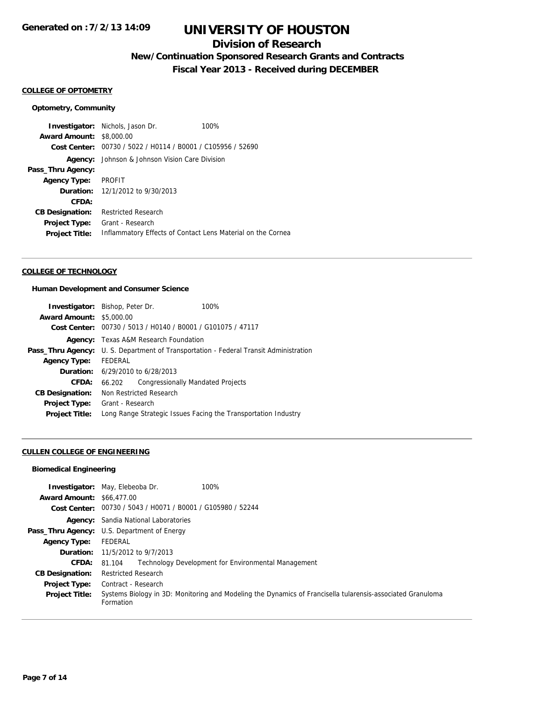## **Division of Research**

## **New/Continuation Sponsored Research Grants and Contracts**

**Fiscal Year 2013 - Received during DECEMBER**

### **COLLEGE OF OPTOMETRY**

### **Optometry, Community**

|                                 | <b>Investigator:</b> Nichols, Jason Dr.                     | 100% |  |
|---------------------------------|-------------------------------------------------------------|------|--|
| <b>Award Amount: \$8,000.00</b> |                                                             |      |  |
| Cost Center:                    | 00730 / 5022 / H0114 / B0001 / C105956 / 52690              |      |  |
| Agency:                         | Johnson & Johnson Vision Care Division                      |      |  |
| Pass_Thru Agency:               |                                                             |      |  |
| <b>Agency Type:</b>             | PROFIT                                                      |      |  |
|                                 | <b>Duration:</b> 12/1/2012 to 9/30/2013                     |      |  |
| CFDA:                           |                                                             |      |  |
| <b>CB Designation:</b>          | <b>Restricted Research</b>                                  |      |  |
| <b>Project Type:</b>            | Grant - Research                                            |      |  |
| <b>Project Title:</b>           | Inflammatory Effects of Contact Lens Material on the Cornea |      |  |

#### **COLLEGE OF TECHNOLOGY**

#### **Human Development and Consumer Science**

| <b>Investigator:</b> Bishop, Peter Dr. |                               |                                                             | 100%                                                                |
|----------------------------------------|-------------------------------|-------------------------------------------------------------|---------------------------------------------------------------------|
| <b>Award Amount: \$5,000.00</b>        |                               |                                                             |                                                                     |
|                                        |                               | Cost Center: 00730 / 5013 / H0140 / B0001 / G101075 / 47117 |                                                                     |
| Agency:                                | Texas A&M Research Foundation |                                                             |                                                                     |
| Pass_Thru Agency:                      |                               |                                                             | U. S. Department of Transportation - Federal Transit Administration |
| <b>Agency Type:</b>                    | FEDERAL                       |                                                             |                                                                     |
|                                        |                               | <b>Duration:</b> 6/29/2010 to 6/28/2013                     |                                                                     |
| CFDA:                                  | 66.202                        | Congressionally Mandated Projects                           |                                                                     |
| <b>CB Designation:</b>                 |                               | Non Restricted Research                                     |                                                                     |
| <b>Project Type:</b>                   | Grant - Research              |                                                             |                                                                     |
| <b>Project Title:</b>                  |                               |                                                             | Long Range Strategic Issues Facing the Transportation Industry      |

### **CULLEN COLLEGE OF ENGINEERING**

#### **Biomedical Engineering**

|                                  | 100%<br><b>Investigator:</b> May, Elebeoba Dr.                                                                          |
|----------------------------------|-------------------------------------------------------------------------------------------------------------------------|
| <b>Award Amount: \$66,477,00</b> |                                                                                                                         |
|                                  | Cost Center: 00730 / 5043 / H0071 / B0001 / G105980 / 52244                                                             |
|                                  | <b>Agency:</b> Sandia National Laboratories                                                                             |
|                                  | <b>Pass_Thru Agency:</b> U.S. Department of Energy                                                                      |
| <b>Agency Type:</b>              | FEDERAL                                                                                                                 |
|                                  | <b>Duration:</b> 11/5/2012 to $9/7/2013$                                                                                |
| <b>CFDA:</b>                     | Technology Development for Environmental Management<br>81.104                                                           |
| <b>CB Designation:</b>           | <b>Restricted Research</b>                                                                                              |
| Project Type:                    | Contract - Research                                                                                                     |
| <b>Project Title:</b>            | Systems Biology in 3D: Monitoring and Modeling the Dynamics of Francisella tularensis-associated Granuloma<br>Formation |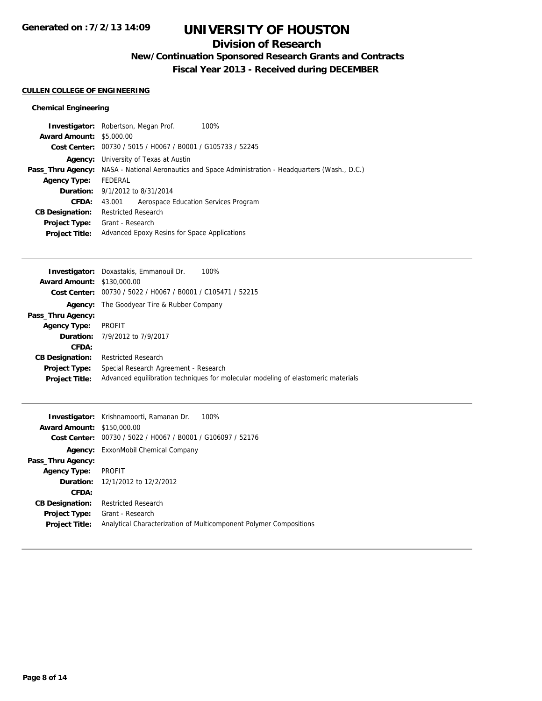## **Division of Research**

**New/Continuation Sponsored Research Grants and Contracts**

**Fiscal Year 2013 - Received during DECEMBER**

### **CULLEN COLLEGE OF ENGINEERING**

### **Chemical Engineering**

|                                 | 100%<br><b>Investigator:</b> Robertson, Megan Prof.                                                        |  |  |
|---------------------------------|------------------------------------------------------------------------------------------------------------|--|--|
| <b>Award Amount: \$5,000.00</b> |                                                                                                            |  |  |
|                                 | Cost Center: 00730 / 5015 / H0067 / B0001 / G105733 / 52245                                                |  |  |
|                                 | <b>Agency:</b> University of Texas at Austin                                                               |  |  |
|                                 | <b>Pass_Thru Agency:</b> NASA - National Aeronautics and Space Administration - Headquarters (Wash., D.C.) |  |  |
| <b>Agency Type:</b>             | FEDERAL                                                                                                    |  |  |
|                                 | <b>Duration:</b> $9/1/2012$ to $8/31/2014$                                                                 |  |  |
| <b>CFDA:</b>                    | Aerospace Education Services Program<br>43.001                                                             |  |  |
| <b>CB Designation:</b>          | <b>Restricted Research</b>                                                                                 |  |  |
| <b>Project Type:</b>            | Grant - Research                                                                                           |  |  |
| <b>Project Title:</b>           | Advanced Epoxy Resins for Space Applications                                                               |  |  |
|                                 |                                                                                                            |  |  |

|                                   | <b>Investigator:</b> Doxastakis, Emmanouil Dr.<br>100%                            |
|-----------------------------------|-----------------------------------------------------------------------------------|
| <b>Award Amount: \$130,000.00</b> |                                                                                   |
|                                   | Cost Center: 00730 / 5022 / H0067 / B0001 / C105471 / 52215                       |
| Agency:                           | The Goodyear Tire & Rubber Company                                                |
| Pass_Thru Agency:                 |                                                                                   |
| <b>Agency Type:</b>               | PROFIT                                                                            |
|                                   | Duration: 7/9/2012 to 7/9/2017                                                    |
| CFDA:                             |                                                                                   |
| <b>CB Designation:</b>            | <b>Restricted Research</b>                                                        |
| <b>Project Type:</b>              | Special Research Agreement - Research                                             |
| <b>Project Title:</b>             | Advanced equilibration techniques for molecular modeling of elastomeric materials |
|                                   |                                                                                   |

|                                   | <b>Investigator:</b> Krishnamoorti, Ramanan Dr.<br>100%            |
|-----------------------------------|--------------------------------------------------------------------|
| <b>Award Amount: \$150,000.00</b> |                                                                    |
| Cost Center:                      | 00730 / 5022 / H0067 / B0001 / G106097 / 52176                     |
|                                   | <b>Agency:</b> ExxonMobil Chemical Company                         |
| Pass_Thru Agency:                 |                                                                    |
| <b>Agency Type:</b>               | <b>PROFIT</b>                                                      |
|                                   | <b>Duration:</b> 12/1/2012 to 12/2/2012                            |
| CFDA:                             |                                                                    |
| <b>CB Designation:</b>            | <b>Restricted Research</b>                                         |
| Project Type:                     | Grant - Research                                                   |
| <b>Project Title:</b>             | Analytical Characterization of Multicomponent Polymer Compositions |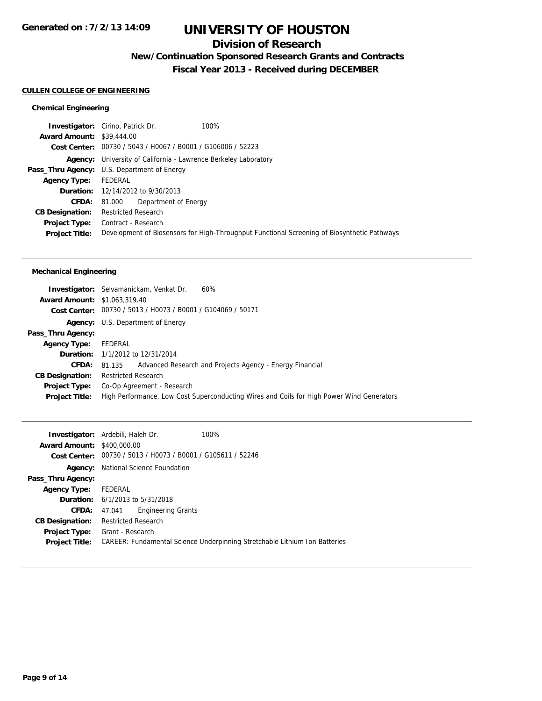## **Division of Research**

**New/Continuation Sponsored Research Grants and Contracts**

**Fiscal Year 2013 - Received during DECEMBER**

### **CULLEN COLLEGE OF ENGINEERING**

### **Chemical Engineering**

| <b>Investigator:</b> Cirino, Patrick Dr.           |                                          |                      | 100%                                                                                        |
|----------------------------------------------------|------------------------------------------|----------------------|---------------------------------------------------------------------------------------------|
| <b>Award Amount: \$39,444,00</b>                   |                                          |                      |                                                                                             |
|                                                    |                                          |                      | Cost Center: 00730 / 5043 / H0067 / B0001 / G106006 / 52223                                 |
| Agency:                                            |                                          |                      | University of California - Lawrence Berkeley Laboratory                                     |
| <b>Pass_Thru Agency:</b> U.S. Department of Energy |                                          |                      |                                                                                             |
| <b>Agency Type:</b>                                | FEDERAL                                  |                      |                                                                                             |
|                                                    | <b>Duration:</b> 12/14/2012 to 9/30/2013 |                      |                                                                                             |
| CFDA:                                              | 81.000                                   | Department of Energy |                                                                                             |
| <b>CB Designation:</b>                             | <b>Restricted Research</b>               |                      |                                                                                             |
| <b>Project Type:</b>                               | Contract - Research                      |                      |                                                                                             |
| <b>Project Title:</b>                              |                                          |                      | Development of Biosensors for High-Throughput Functional Screening of Biosynthetic Pathways |
|                                                    |                                          |                      |                                                                                             |

### **Mechanical Engineering**

|                                     | 60%<br><b>Investigator:</b> Selvamanickam, Venkat Dr.                                     |
|-------------------------------------|-------------------------------------------------------------------------------------------|
| <b>Award Amount: \$1,063,319.40</b> |                                                                                           |
|                                     | Cost Center: 00730 / 5013 / H0073 / B0001 / G104069 / 50171                               |
|                                     | <b>Agency:</b> U.S. Department of Energy                                                  |
| Pass_Thru Agency:                   |                                                                                           |
| <b>Agency Type:</b>                 | FEDERAL                                                                                   |
|                                     | <b>Duration:</b> 1/1/2012 to 12/31/2014                                                   |
| <b>CFDA:</b>                        | Advanced Research and Projects Agency - Energy Financial<br>81.135                        |
| <b>CB Designation:</b>              | <b>Restricted Research</b>                                                                |
| <b>Project Type:</b>                | Co-Op Agreement - Research                                                                |
| <b>Project Title:</b>               | High Performance, Low Cost Superconducting Wires and Coils for High Power Wind Generators |
|                                     |                                                                                           |

|                                   | <b>Investigator:</b> Ardebili, Haleh Dr.   | 100%                                                                       |  |  |
|-----------------------------------|--------------------------------------------|----------------------------------------------------------------------------|--|--|
| <b>Award Amount: \$400,000.00</b> |                                            |                                                                            |  |  |
|                                   |                                            | Cost Center: 00730 / 5013 / H0073 / B0001 / G105611 / 52246                |  |  |
| Agency:                           | National Science Foundation                |                                                                            |  |  |
| Pass_Thru Agency:                 |                                            |                                                                            |  |  |
| <b>Agency Type:</b>               | FEDERAL                                    |                                                                            |  |  |
|                                   | <b>Duration:</b> $6/1/2013$ to $5/31/2018$ |                                                                            |  |  |
| <b>CFDA:</b>                      | <b>Engineering Grants</b><br>47.041        |                                                                            |  |  |
| <b>CB Designation:</b>            | Restricted Research                        |                                                                            |  |  |
| <b>Project Type:</b>              | Grant - Research                           |                                                                            |  |  |
| <b>Project Title:</b>             |                                            | CAREER: Fundamental Science Underpinning Stretchable Lithium Ion Batteries |  |  |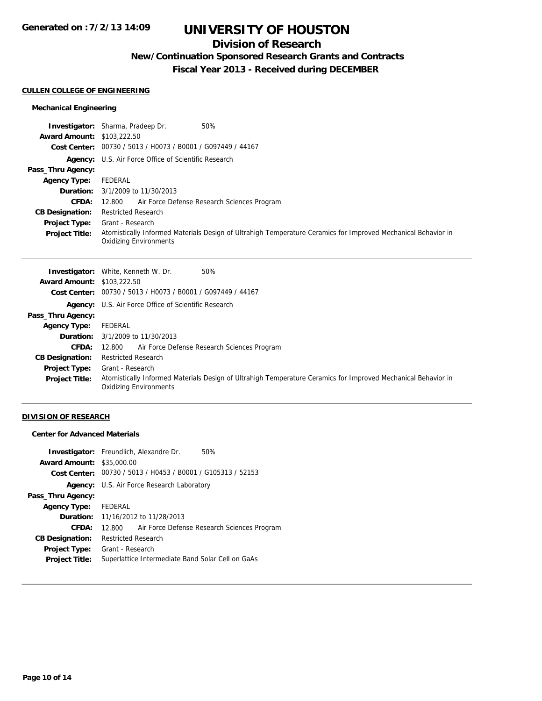## **Division of Research**

**New/Continuation Sponsored Research Grants and Contracts**

**Fiscal Year 2013 - Received during DECEMBER**

#### **CULLEN COLLEGE OF ENGINEERING**

### **Mechanical Engineering**

|                                   | <b>Investigator:</b> Sharma, Pradeep Dr.<br>50%                                                                                                |
|-----------------------------------|------------------------------------------------------------------------------------------------------------------------------------------------|
| <b>Award Amount: \$103,222.50</b> |                                                                                                                                                |
|                                   | Cost Center: 00730 / 5013 / H0073 / B0001 / G097449 / 44167                                                                                    |
|                                   | <b>Agency:</b> U.S. Air Force Office of Scientific Research                                                                                    |
| Pass_Thru Agency:                 |                                                                                                                                                |
| <b>Agency Type:</b>               | FEDERAL                                                                                                                                        |
|                                   | <b>Duration:</b> 3/1/2009 to 11/30/2013                                                                                                        |
| <b>CFDA:</b>                      | 12.800 Air Force Defense Research Sciences Program                                                                                             |
| <b>CB Designation:</b>            | <b>Restricted Research</b>                                                                                                                     |
| Project Type:                     | Grant - Research                                                                                                                               |
| <b>Project Title:</b>             | Atomistically Informed Materials Design of Ultrahigh Temperature Ceramics for Improved Mechanical Behavior in<br><b>Oxidizing Environments</b> |

| <b>Investigator:</b> White, Kenneth W. Dr.<br>50%                                                                                              |
|------------------------------------------------------------------------------------------------------------------------------------------------|
| <b>Award Amount: \$103,222.50</b>                                                                                                              |
| Cost Center: 00730 / 5013 / H0073 / B0001 / G097449 / 44167                                                                                    |
| <b>Agency:</b> U.S. Air Force Office of Scientific Research                                                                                    |
|                                                                                                                                                |
| FEDERAL                                                                                                                                        |
| <b>Duration:</b> 3/1/2009 to 11/30/2013                                                                                                        |
| Air Force Defense Research Sciences Program<br>12.800                                                                                          |
| <b>Restricted Research</b>                                                                                                                     |
| Grant - Research                                                                                                                               |
| Atomistically Informed Materials Design of Ultrahigh Temperature Ceramics for Improved Mechanical Behavior in<br><b>Oxidizing Environments</b> |
|                                                                                                                                                |

### **DIVISION OF RESEARCH**

## **Center for Advanced Materials**

|                                  | <b>Investigator:</b> Freundlich, Alexandre Dr.<br>50%       |
|----------------------------------|-------------------------------------------------------------|
| <b>Award Amount: \$35,000.00</b> |                                                             |
|                                  | Cost Center: 00730 / 5013 / H0453 / B0001 / G105313 / 52153 |
|                                  | <b>Agency:</b> U.S. Air Force Research Laboratory           |
| Pass_Thru Agency:                |                                                             |
| Agency Type: FEDERAL             |                                                             |
|                                  | <b>Duration:</b> 11/16/2012 to 11/28/2013                   |
| CFDA:                            | Air Force Defense Research Sciences Program<br>12.800       |
| <b>CB Designation:</b>           | <b>Restricted Research</b>                                  |
| Project Type:                    | Grant - Research                                            |
| <b>Project Title:</b>            | Superlattice Intermediate Band Solar Cell on GaAs           |
|                                  |                                                             |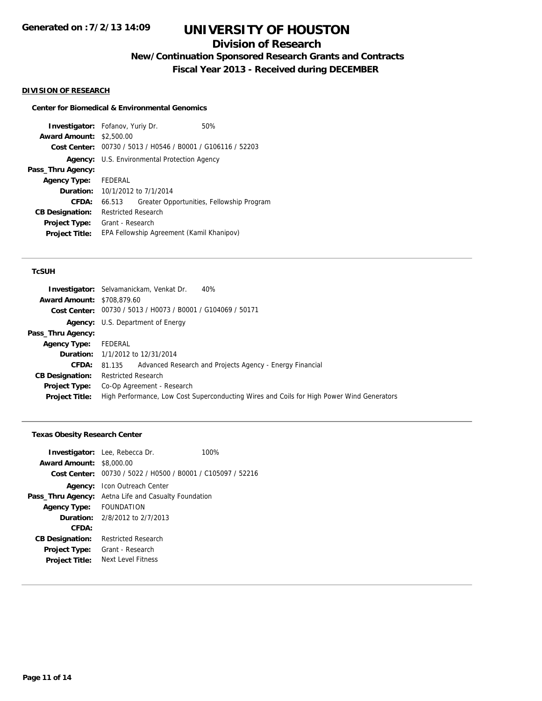## **Division of Research**

**New/Continuation Sponsored Research Grants and Contracts**

**Fiscal Year 2013 - Received during DECEMBER**

### **DIVISION OF RESEARCH**

### **Center for Biomedical & Environmental Genomics**

**Investigator:** Fofanov, Yuriy Dr. 60% **Award Amount:** \$2,500.00 **Cost Center:** 00730 / 5013 / H0546 / B0001 / G106116 / 52203 **Agency:** U.S. Environmental Protection Agency **Pass\_Thru Agency: Agency Type:** FEDERAL **Duration:** 10/1/2012 to 7/1/2014 **CFDA:** 66.513 Greater Opportunities, Fellowship Program **CB Designation:** Restricted Research **Project Type:** Grant - Research **Project Title:** EPA Fellowship Agreement (Kamil Khanipov)

### **TcSUH**

|                                   | <b>Investigator:</b> Selvamanickam, Venkat Dr.<br>40%                                     |
|-----------------------------------|-------------------------------------------------------------------------------------------|
| <b>Award Amount: \$708,879.60</b> |                                                                                           |
|                                   | Cost Center: 00730 / 5013 / H0073 / B0001 / G104069 / 50171                               |
|                                   | <b>Agency:</b> U.S. Department of Energy                                                  |
| Pass_Thru Agency:                 |                                                                                           |
| <b>Agency Type:</b>               | FEDERAL                                                                                   |
|                                   | <b>Duration:</b> 1/1/2012 to 12/31/2014                                                   |
| <b>CFDA:</b>                      | Advanced Research and Projects Agency - Energy Financial<br>81.135                        |
| <b>CB Designation:</b>            | <b>Restricted Research</b>                                                                |
| <b>Project Type:</b>              | Co-Op Agreement - Research                                                                |
| <b>Project Title:</b>             | High Performance, Low Cost Superconducting Wires and Coils for High Power Wind Generators |

#### **Texas Obesity Research Center**

| <b>Award Amount: \$8,000.00</b> | <b>Investigator:</b> Lee, Rebecca Dr.     | 100%                                                        |
|---------------------------------|-------------------------------------------|-------------------------------------------------------------|
|                                 |                                           | Cost Center: 00730 / 5022 / H0500 / B0001 / C105097 / 52216 |
|                                 | <b>Agency:</b> Icon Outreach Center       |                                                             |
| Pass_Thru Agency:               | Aetna Life and Casualty Foundation        |                                                             |
| <b>Agency Type:</b>             | FOUNDATION                                |                                                             |
|                                 | <b>Duration:</b> $2/8/2012$ to $2/7/2013$ |                                                             |
| CFDA:                           |                                           |                                                             |
| <b>CB Designation:</b>          | <b>Restricted Research</b>                |                                                             |
| <b>Project Type:</b>            | Grant - Research                          |                                                             |
| <b>Project Title:</b>           | Next Level Fitness                        |                                                             |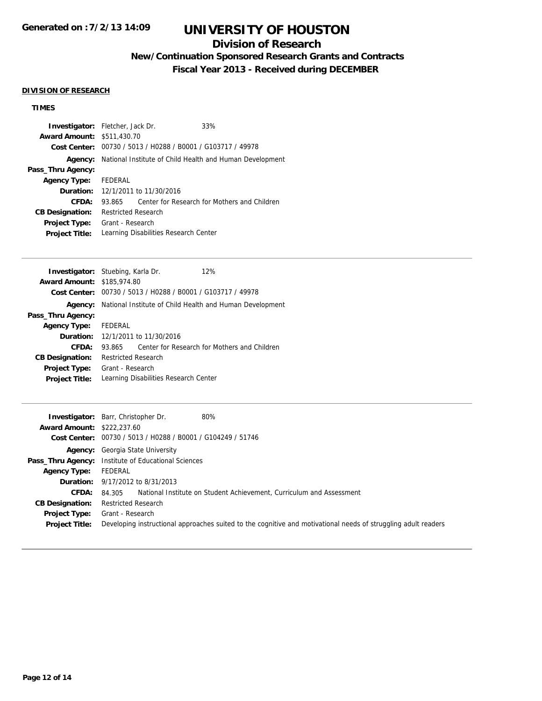## **Division of Research**

# **New/Continuation Sponsored Research Grants and Contracts**

**Fiscal Year 2013 - Received during DECEMBER**

### **DIVISION OF RESEARCH**

## **TIMES**

| <b>Investigator:</b> Fletcher, Jack Dr. |                            |                                          | 33%                                                                     |  |
|-----------------------------------------|----------------------------|------------------------------------------|-------------------------------------------------------------------------|--|
| <b>Award Amount: \$511,430.70</b>       |                            |                                          |                                                                         |  |
|                                         |                            |                                          | Cost Center: 00730 / 5013 / H0288 / B0001 / G103717 / 49978             |  |
|                                         |                            |                                          | <b>Agency:</b> National Institute of Child Health and Human Development |  |
| Pass_Thru Agency:                       |                            |                                          |                                                                         |  |
| <b>Agency Type:</b>                     | FEDERAL                    |                                          |                                                                         |  |
|                                         |                            | <b>Duration:</b> 12/1/2011 to 11/30/2016 |                                                                         |  |
| CFDA:                                   | 93.865                     |                                          | Center for Research for Mothers and Children                            |  |
| <b>CB Designation:</b>                  | <b>Restricted Research</b> |                                          |                                                                         |  |
| <b>Project Type:</b>                    | Grant - Research           |                                          |                                                                         |  |
| <b>Project Title:</b>                   |                            |                                          | Learning Disabilities Research Center                                   |  |
|                                         |                            |                                          |                                                                         |  |

| <b>Investigator:</b> Stuebing, Karla Dr. |                            |                                          | 12%                                                                     |  |
|------------------------------------------|----------------------------|------------------------------------------|-------------------------------------------------------------------------|--|
| <b>Award Amount: \$185,974.80</b>        |                            |                                          |                                                                         |  |
|                                          |                            |                                          | Cost Center: 00730 / 5013 / H0288 / B0001 / G103717 / 49978             |  |
|                                          |                            |                                          | <b>Agency:</b> National Institute of Child Health and Human Development |  |
| Pass_Thru Agency:                        |                            |                                          |                                                                         |  |
| <b>Agency Type:</b>                      | FEDERAL                    |                                          |                                                                         |  |
|                                          |                            | <b>Duration:</b> 12/1/2011 to 11/30/2016 |                                                                         |  |
| CFDA:                                    | 93.865                     |                                          | Center for Research for Mothers and Children                            |  |
| <b>CB Designation:</b>                   | <b>Restricted Research</b> |                                          |                                                                         |  |
| <b>Project Type:</b>                     | Grant - Research           |                                          |                                                                         |  |
| <b>Project Title:</b>                    |                            |                                          | Learning Disabilities Research Center                                   |  |

| Investigator:                     | 80%<br>Barr, Christopher Dr.                                                                                   |  |  |
|-----------------------------------|----------------------------------------------------------------------------------------------------------------|--|--|
| <b>Award Amount: \$222,237.60</b> |                                                                                                                |  |  |
|                                   | Cost Center: 00730 / 5013 / H0288 / B0001 / G104249 / 51746                                                    |  |  |
|                                   | <b>Agency:</b> Georgia State University                                                                        |  |  |
|                                   | <b>Pass_Thru Agency:</b> Institute of Educational Sciences                                                     |  |  |
| <b>Agency Type:</b>               | FEDERAL                                                                                                        |  |  |
|                                   | <b>Duration:</b> $9/17/2012$ to $8/31/2013$                                                                    |  |  |
| <b>CFDA:</b>                      | National Institute on Student Achievement, Curriculum and Assessment<br>84.305                                 |  |  |
| <b>CB Designation:</b>            | <b>Restricted Research</b>                                                                                     |  |  |
| Project Type:                     | Grant - Research                                                                                               |  |  |
| <b>Project Title:</b>             | Developing instructional approaches suited to the cognitive and motivational needs of struggling adult readers |  |  |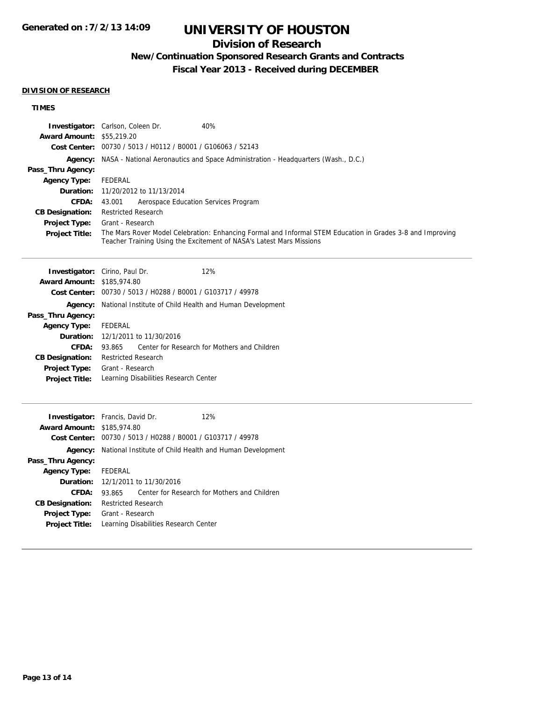## **Division of Research**

# **New/Continuation Sponsored Research Grants and Contracts**

**Fiscal Year 2013 - Received during DECEMBER**

### **DIVISION OF RESEARCH**

## **TIMES**

| <b>Award Amount: \$55,219.20</b><br>Pass_Thru Agency:<br><b>Agency Type:</b><br>Duration:<br>CFDA:<br><b>CB Designation:</b><br>Project Type:<br><b>Project Title:</b>             | Investigator: Carlson, Coleen Dr.<br>40%<br>Cost Center: 00730 / 5013 / H0112 / B0001 / G106063 / 52143<br><b>Agency:</b> NASA - National Aeronautics and Space Administration - Headquarters (Wash., D.C.)<br>FEDERAL<br>11/20/2012 to 11/13/2014<br>43.001<br>Aerospace Education Services Program<br><b>Restricted Research</b><br>Grant - Research<br>The Mars Rover Model Celebration: Enhancing Formal and Informal STEM Education in Grades 3-8 and Improving<br>Teacher Training Using the Excitement of NASA's Latest Mars Missions |
|------------------------------------------------------------------------------------------------------------------------------------------------------------------------------------|----------------------------------------------------------------------------------------------------------------------------------------------------------------------------------------------------------------------------------------------------------------------------------------------------------------------------------------------------------------------------------------------------------------------------------------------------------------------------------------------------------------------------------------------|
| <b>Award Amount: \$185,974.80</b><br>Agency:<br>Pass_Thru Agency:<br><b>Agency Type:</b><br>Duration:<br>CFDA:<br><b>CB Designation:</b><br>Project Type:<br><b>Project Title:</b> | Investigator: Cirino, Paul Dr.<br>12%<br>Cost Center: 00730 / 5013 / H0288 / B0001 / G103717 / 49978<br>National Institute of Child Health and Human Development<br>FEDERAL<br>12/1/2011 to 11/30/2016<br>Center for Research for Mothers and Children<br>93.865<br><b>Restricted Research</b><br>Grant - Research<br>Learning Disabilities Research Center                                                                                                                                                                                  |
| <b>Award Amount: \$185,974.80</b><br>Agency:<br>Pass_Thru Agency:<br><b>Agency Type:</b><br>Duration:<br>CFDA:<br><b>CB Designation:</b><br>Project Type:<br>Project Title:        | 12%<br>Investigator: Francis, David Dr.<br>Cost Center: 00730 / 5013 / H0288 / B0001 / G103717 / 49978<br>National Institute of Child Health and Human Development<br>FEDERAL<br>12/1/2011 to 11/30/2016<br>Center for Research for Mothers and Children<br>93.865<br><b>Restricted Research</b><br>Grant - Research<br>Learning Disabilities Research Center                                                                                                                                                                                |